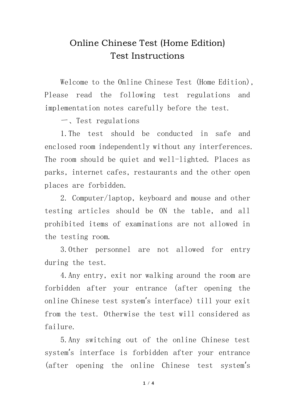## Online Chinese Test (Home Edition) Test Instructions

Welcome to the Online Chinese Test (Home Edition), Please read the following test regulations and implementation notes carefully before the test.

一、Test regulations

1.The test should be conducted in safe and enclosed room independently without any interferences. The room should be quiet and well-lighted. Places as parks, internet cafes, restaurants and the other open places are forbidden.

2. Computer/laptop, keyboard and mouse and other testing articles should be ON the table, and all prohibited items of examinations are not allowed in the testing room.

3.Other personnel are not allowed for entry during the test.

4.Any entry, exit nor walking around the room are forbidden after your entrance (after opening the online Chinese test system's interface) till your exit from the test. Otherwise the test will considered as failure.

5.Any switching out of the online Chinese test system's interface is forbidden after your entrance (after opening the online Chinese test system's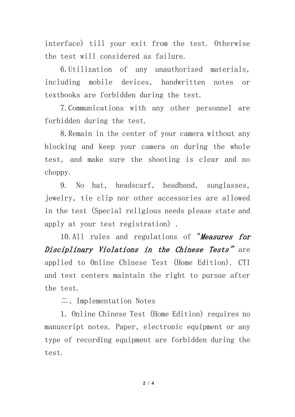interface) till your exit from the test. Otherwise the test will considered as failure.

6.Utilization of any unauthorized materials, including mobile devices, handwritten notes or textbooks are forbidden during the test.

7.Communications with any other personnel are forbidden during the test.

8.Remain in the center of your camera without any blocking and keep your camera on during the whole test, and make sure the shooting is clear and no choppy.

9. No hat, headscarf, headband, sunglasses, jewelry, tie clip nor other accessories are allowed in the test (Special religious needs please state and apply at your test registration) .

10.All rules and regulations of "Measures for Disciplinary Violations in the Chinese Tests**"** are applied to Online Chinese Test (Home Edition). CTI and test centers maintain the right to pursue after the test.

二、Implementation Notes

1. Online Chinese Test (Home Edition) requires no manuscript notes. Paper, electronic equipment or any type of recording equipment are forbidden during the test.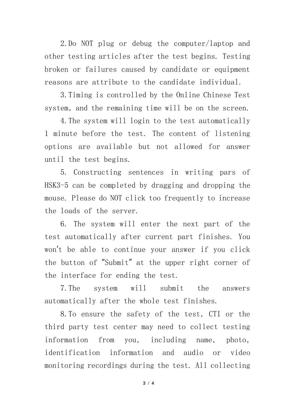2.Do NOT plug or debug the computer/laptop and other testing articles after the test begins. Testing broken or failures caused by candidate or equipment reasons are attribute to the candidate individual.

3.Timing is controlled by the Online Chinese Test system, and the remaining time will be on the screen.

4.The system will login to the test automatically 1 minute before the test. The content of listening options are available but not allowed for answer until the test begins.

5. Constructing sentences in writing pars of HSK3-5 can be completed by dragging and dropping the mouse. Please do NOT click too frequently to increase the loads of the server.

6. The system will enter the next part of the test automatically after current part finishes. You won't be able to continue your answer if you click the button of "Submit" at the upper right corner of the interface for ending the test.

7.The system will submit the answers automatically after the whole test finishes.

8.To ensure the safety of the test, CTI or the third party test center may need to collect testing information from you, including name, photo, identification information and audio or video monitoring recordings during the test. All collecting

**3** / **4**